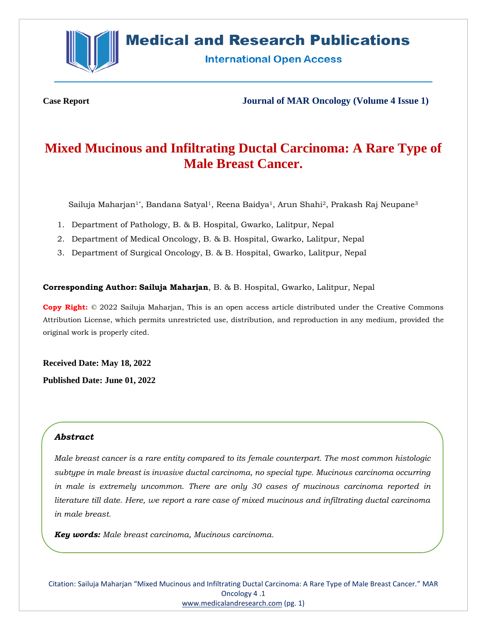

# **Medical and Research Publications**

**International Open Access** 

**Case Report Journal of MAR Oncology (Volume 4 Issue 1)**

# **Mixed Mucinous and Infiltrating Ductal Carcinoma: A Rare Type of Male Breast Cancer.**

Sailuja Maharjan<sup>1\*</sup>, Bandana Satyal<sup>1</sup>, Reena Baidya<sup>1</sup>, Arun Shahi<sup>2</sup>, Prakash Raj Neupane<sup>3</sup>

- 1. Department of Pathology, B. & B. Hospital, Gwarko, Lalitpur, Nepal
- 2. Department of Medical Oncology, B. & B. Hospital, Gwarko, Lalitpur, Nepal
- 3. Department of Surgical Oncology, B. & B. Hospital, Gwarko, Lalitpur, Nepal

### **Corresponding Author: Sailuja Maharjan**, B. & B. Hospital, Gwarko, Lalitpur, Nepal

**Copy Right:** © 2022 Sailuja Maharjan, This is an open access article distributed under the Creative Commons Attribution License, which permits unrestricted use, distribution, and reproduction in any medium, provided the original work is properly cited.

**Received Date: May 18, 2022 Published Date: June 01, 2022**

# *Abstract*

*Male breast cancer is a rare entity compared to its female counterpart. The most common histologic subtype in male breast is invasive ductal carcinoma, no special type. Mucinous carcinoma occurring in male is extremely uncommon. There are only 30 cases of mucinous carcinoma reported in literature till date. Here, we report a rare case of mixed mucinous and infiltrating ductal carcinoma in male breast.*

*Key words: Male breast carcinoma, Mucinous carcinoma.* 

Citation: Sailuja Maharjan "Mixed Mucinous and Infiltrating Ductal Carcinoma: A Rare Type of Male Breast Cancer." MAR Oncology 4 .1 [www.medicalandresearch.com](http://www.medicalandresearch.com/) (pg. 1)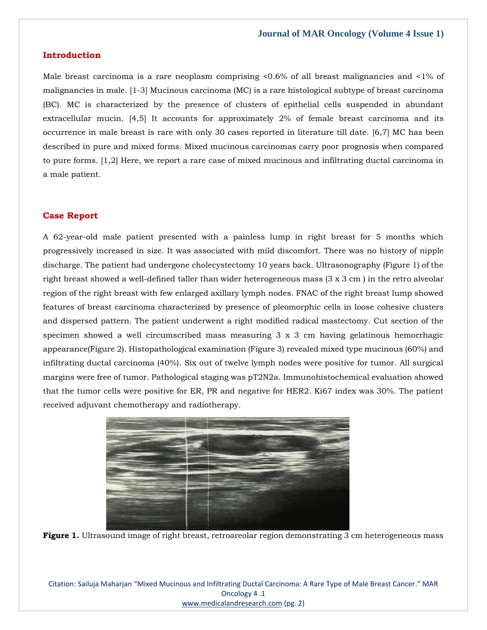### **Introduction**

Male breast carcinoma is a rare neoplasm comprising  $\langle 0.6\%$  of all breast malignancies and  $\langle 1\%$  of malignancies in male. [1-3] Mucinous carcinoma (MC) is a rare histological subtype of breast carcinoma (BC). MC is characterized by the presence of clusters of epithelial cells suspended in abundant extracellular mucin. [4,5] It accounts for approximately 2% of female breast carcinoma and its occurrence in male breast is rare with only 30 cases reported in literature till date. [6,7] MC has been described in pure and mixed forms. Mixed mucinous carcinomas carry poor prognosis when compared to pure forms. [1,2] Here, we report a rare case of mixed mucinous and infiltrating ductal carcinoma in a male patient.

## **Case Report**

A 62-year-old male patient presented with a painless lump in right breast for 5 months which progressively increased in size. It was associated with mild discomfort. There was no history of nipple discharge. The patient had undergone cholecystectomy 10 years back. Ultrasonography (Figure 1) of the right breast showed a well-defined taller than wider heterogeneous mass (3 x 3 cm ) in the retro alveolar region of the right breast with few enlarged axillary lymph nodes. FNAC of the right breast lump showed features of breast carcinoma characterized by presence of pleomorphic cells in loose cohesive clusters and dispersed pattern. The patient underwent a right modified radical mastectomy. Cut section of the specimen showed a well circumscribed mass measuring  $3 \times 3$  cm having gelatinous hemorrhagic appearance(Figure 2). Histopathological examination (Figure 3) revealed mixed type mucinous (60%) and infiltrating ductal carcinoma (40%). Six out of twelve lymph nodes were positive for tumor. All surgical margins were free of tumor. Pathological staging was pT2N2a. Immunohistochemical evaluation showed that the tumor cells were positive for ER, PR and negative for HER2. Ki67 index was 30%. The patient received adjuvant chemotherapy and radiotherapy.



**Figure 1.** Ultrasound image of right breast, retroareolar region demonstrating 3 cm heterogeneous mass

Citation: Sailuja Maharjan "Mixed Mucinous and Infiltrating Ductal Carcinoma: A Rare Type of Male Breast Cancer." MAR Oncology 4 .1 [www.medicalandresearch.com](http://www.medicalandresearch.com/) (pg. 2)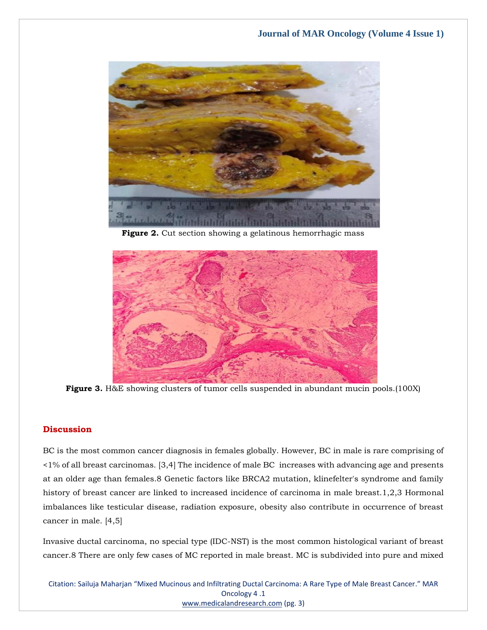

**Figure 2.** Cut section showing a gelatinous hemorrhagic mass



**Figure 3.** H&E showing clusters of tumor cells suspended in abundant mucin pools.(100X)

# **Discussion**

BC is the most common cancer diagnosis in females globally. However, BC in male is rare comprising of <1% of all breast carcinomas. [3,4] The incidence of male BC increases with advancing age and presents at an older age than females.8 Genetic factors like BRCA2 mutation, klinefelter's syndrome and family history of breast cancer are linked to increased incidence of carcinoma in male breast.1,2,3 Hormonal imbalances like testicular disease, radiation exposure, obesity also contribute in occurrence of breast cancer in male. [4,5]

Invasive ductal carcinoma, no special type (IDC-NST) is the most common histological variant of breast cancer.8 There are only few cases of MC reported in male breast. MC is subdivided into pure and mixed

Citation: Sailuja Maharjan "Mixed Mucinous and Infiltrating Ductal Carcinoma: A Rare Type of Male Breast Cancer." MAR Oncology 4 .1 [www.medicalandresearch.com](http://www.medicalandresearch.com/) (pg. 3)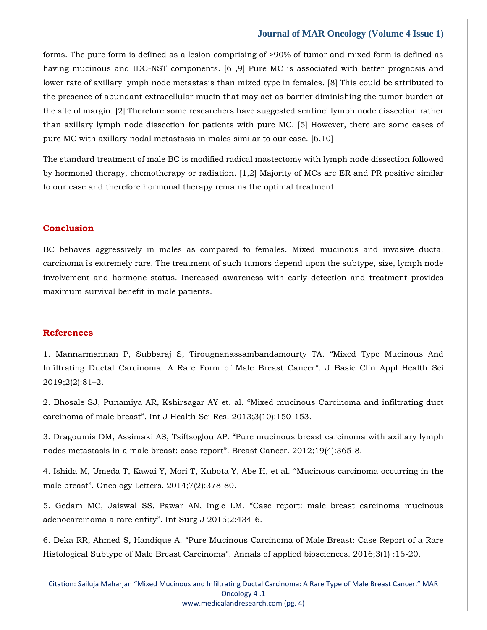#### **Journal of MAR Oncology (Volume 4 Issue 1)**

forms. The pure form is defined as a lesion comprising of >90% of tumor and mixed form is defined as having mucinous and IDC-NST components. [6 ,9] Pure MC is associated with better prognosis and lower rate of axillary lymph node metastasis than mixed type in females. [8] This could be attributed to the presence of abundant extracellular mucin that may act as barrier diminishing the tumor burden at the site of margin. [2] Therefore some researchers have suggested sentinel lymph node dissection rather than axillary lymph node dissection for patients with pure MC. [5] However, there are some cases of pure MC with axillary nodal metastasis in males similar to our case. [6,10]

The standard treatment of male BC is modified radical mastectomy with lymph node dissection followed by hormonal therapy, chemotherapy or radiation. [1,2] Majority of MCs are ER and PR positive similar to our case and therefore hormonal therapy remains the optimal treatment.

## **Conclusion**

BC behaves aggressively in males as compared to females. Mixed mucinous and invasive ductal carcinoma is extremely rare. The treatment of such tumors depend upon the subtype, size, lymph node involvement and hormone status. Increased awareness with early detection and treatment provides maximum survival benefit in male patients.

## **References**

1. [Mannarmannan P, Subbaraj S, Tirougnanassambandamourty TA.](https://www.google.com/search?q=%E2%80%9CMixed+Type+Mucinous+And+Infiltrating+Ductal+Carcinoma%3A+A+Rare+Form+of+Male+Breast+Cancer%E2%80%9D&rlz=1C1CHBF_enIN1000IN1000&sxsrf=ALiCzsZ_iUtAqceaPBo8VucKnih3WBSQPA%3A1652941152482&ei=YOGFYu2MHe-TseMPju6YkA0&ved=0ahUKEwjtvOnR9er3AhXvSWwGHQ43BtIQ4dUDCA4&uact=5&oq=%E2%80%9CMixed+Type+Mucinous+And+Infiltrating+Ductal+Carcinoma%3A+A+Rare+Form+of+Male+Breast+Cancer%E2%80%9D&gs_lcp=Cgdnd3Mtd2l6EAM6BwgjEOoCECdKBAhBGABKBAhGGABQjg1Yjg1gmBloAXAAeACAAV2IAV2SAQExmAEAoAEBoAECsAEKwAEB&sclient=gws-wiz) "Mixed Type Mucinous And [Infiltrating Ductal Carcinoma: A Rare Form of Male Breast Cancer](https://www.google.com/search?q=%E2%80%9CMixed+Type+Mucinous+And+Infiltrating+Ductal+Carcinoma%3A+A+Rare+Form+of+Male+Breast+Cancer%E2%80%9D&rlz=1C1CHBF_enIN1000IN1000&sxsrf=ALiCzsZ_iUtAqceaPBo8VucKnih3WBSQPA%3A1652941152482&ei=YOGFYu2MHe-TseMPju6YkA0&ved=0ahUKEwjtvOnR9er3AhXvSWwGHQ43BtIQ4dUDCA4&uact=5&oq=%E2%80%9CMixed+Type+Mucinous+And+Infiltrating+Ductal+Carcinoma%3A+A+Rare+Form+of+Male+Breast+Cancer%E2%80%9D&gs_lcp=Cgdnd3Mtd2l6EAM6BwgjEOoCECdKBAhBGABKBAhGGABQjg1Yjg1gmBloAXAAeACAAV2IAV2SAQExmAEAoAEBoAECsAEKwAEB&sclient=gws-wiz)". J Basic Clin Appl Health Sci [2019;2\(2\):81](https://www.google.com/search?q=%E2%80%9CMixed+Type+Mucinous+And+Infiltrating+Ductal+Carcinoma%3A+A+Rare+Form+of+Male+Breast+Cancer%E2%80%9D&rlz=1C1CHBF_enIN1000IN1000&sxsrf=ALiCzsZ_iUtAqceaPBo8VucKnih3WBSQPA%3A1652941152482&ei=YOGFYu2MHe-TseMPju6YkA0&ved=0ahUKEwjtvOnR9er3AhXvSWwGHQ43BtIQ4dUDCA4&uact=5&oq=%E2%80%9CMixed+Type+Mucinous+And+Infiltrating+Ductal+Carcinoma%3A+A+Rare+Form+of+Male+Breast+Cancer%E2%80%9D&gs_lcp=Cgdnd3Mtd2l6EAM6BwgjEOoCECdKBAhBGABKBAhGGABQjg1Yjg1gmBloAXAAeACAAV2IAV2SAQExmAEAoAEBoAECsAEKwAEB&sclient=gws-wiz)–2.

2. Bhosale SJ, Punamiya AR, Kshirsagar AY et. al. "[Mixed mucinous Carcinoma and infiltrating duct](https://www.google.com/search?q=.+%E2%80%9CMixed+mucinous+Carcinoma+and+infiltrating+duct+carcinoma+of+male+breast%E2%80%9D&rlz=1C1CHBF_enIN1000IN1000&sxsrf=ALiCzsYlXd-1fyMfaYUSTUamD56N7Jb_mQ%3A1652941129499&ei=SeGFYv2THvmSseMP35CvsAY&ved=0ahUKEwi93O7G9er3AhV5SWwGHV_IC2YQ4dUDCA4&uact=5&oq=.+%E2%80%9CMixed+mucinous+Carcinoma+and+infiltrating+duct+carcinoma+of+male+breast%E2%80%9D&gs_lcp=Cgdnd3Mtd2l6EAM6BwgjEOoCECdKBAhBGABKBAhGGABQ8gtY8gtgjRhoAXAAeACAAZMBiAGTAZIBAzAuMZgBAKABAaABArABCsABAQ&sclient=gws-wiz)  carcinoma of male breast"[. Int J Health Sci Res. 2013;3\(10\):150-153.](https://www.google.com/search?q=.+%E2%80%9CMixed+mucinous+Carcinoma+and+infiltrating+duct+carcinoma+of+male+breast%E2%80%9D&rlz=1C1CHBF_enIN1000IN1000&sxsrf=ALiCzsYlXd-1fyMfaYUSTUamD56N7Jb_mQ%3A1652941129499&ei=SeGFYv2THvmSseMP35CvsAY&ved=0ahUKEwi93O7G9er3AhV5SWwGHV_IC2YQ4dUDCA4&uact=5&oq=.+%E2%80%9CMixed+mucinous+Carcinoma+and+infiltrating+duct+carcinoma+of+male+breast%E2%80%9D&gs_lcp=Cgdnd3Mtd2l6EAM6BwgjEOoCECdKBAhBGABKBAhGGABQ8gtY8gtgjRhoAXAAeACAAZMBiAGTAZIBAzAuMZgBAKABAaABArABCsABAQ&sclient=gws-wiz)

3. Dragoumis DM, Assimaki AS, Tsiftsoglou AP. "[Pure mucinous breast carcinoma with axillary lymph](https://www.google.com/search?q=%E2%80%9CPure+mucinous+breast+carcinoma+with+axillary+lymph+nodes+metastasis+in+a+male+breast%3A+case+report%E2%80%9D&rlz=1C1CHBF_enIN1000IN1000&sxsrf=ALiCzsbjQ2siU0lITh9IWqjsjJsonJR4cA%3A1652941103000&ei=LuGFYtHXPN2gseMPj4i-6Ac&ved=0ahUKEwjRpp269er3AhVdUGwGHQ-ED30Q4dUDCA4&uact=5&oq=%E2%80%9CPure+mucinous+breast+carcinoma+with+axillary+lymph+nodes+metastasis+in+a+male+breast%3A+case+report%E2%80%9D&gs_lcp=Cgdnd3Mtd2l6EAM6BwgjEOoCECdKBAhBGABKBAhGGABQyQtYyQtg7BdoAXAAeACAAWmIAWmSAQMwLjGYAQCgAQGgAQKwAQrAAQE&sclient=gws-wiz)  [nodes metastasis in a male breast: case report](https://www.google.com/search?q=%E2%80%9CPure+mucinous+breast+carcinoma+with+axillary+lymph+nodes+metastasis+in+a+male+breast%3A+case+report%E2%80%9D&rlz=1C1CHBF_enIN1000IN1000&sxsrf=ALiCzsbjQ2siU0lITh9IWqjsjJsonJR4cA%3A1652941103000&ei=LuGFYtHXPN2gseMPj4i-6Ac&ved=0ahUKEwjRpp269er3AhVdUGwGHQ-ED30Q4dUDCA4&uact=5&oq=%E2%80%9CPure+mucinous+breast+carcinoma+with+axillary+lymph+nodes+metastasis+in+a+male+breast%3A+case+report%E2%80%9D&gs_lcp=Cgdnd3Mtd2l6EAM6BwgjEOoCECdKBAhBGABKBAhGGABQyQtYyQtg7BdoAXAAeACAAWmIAWmSAQMwLjGYAQCgAQGgAQKwAQrAAQE&sclient=gws-wiz)". Breast Cancer. 2012;19(4):365-8.

4. [Ishida M, Umeda T, Kawai Y, Mori T, Kubota Y, Abe H, et al.](https://www.google.com/search?q=%E2%80%9CMucinous+carcinoma+occurring+in+the+male+breast%E2%80%9D&rlz=1C1CHBF_enIN1000IN1000&sxsrf=ALiCzsab9hQrJ3pHuNWY09GMDDKb7-Urpg%3A1652941079857&ei=F-GFYuX-M76SseMP1M6w8AM&ved=0ahUKEwil5piv9er3AhU-SWwGHVQnDD4Q4dUDCA4&uact=5&oq=%E2%80%9CMucinous+carcinoma+occurring+in+the+male+breast%E2%80%9D&gs_lcp=Cgdnd3Mtd2l6EAMyBQghEKABMgUIIRCgATIFCCEQoAEyBQghEKABOgcIIxDqAhAnSgQIQRgASgQIRhgAUNUMWNUMYN8ZaAFwAHgAgAGUAYgBlAGSAQMwLjGYAQCgAQGgAQKwAQrAAQE&sclient=gws-wiz) "Mucinous carcinoma occurring in the male breast"[. Oncology Letters. 2014;7\(2\):378-80.](https://www.google.com/search?q=%E2%80%9CMucinous+carcinoma+occurring+in+the+male+breast%E2%80%9D&rlz=1C1CHBF_enIN1000IN1000&sxsrf=ALiCzsab9hQrJ3pHuNWY09GMDDKb7-Urpg%3A1652941079857&ei=F-GFYuX-M76SseMP1M6w8AM&ved=0ahUKEwil5piv9er3AhU-SWwGHVQnDD4Q4dUDCA4&uact=5&oq=%E2%80%9CMucinous+carcinoma+occurring+in+the+male+breast%E2%80%9D&gs_lcp=Cgdnd3Mtd2l6EAMyBQghEKABMgUIIRCgATIFCCEQoAEyBQghEKABOgcIIxDqAhAnSgQIQRgASgQIRhgAUNUMWNUMYN8ZaAFwAHgAgAGUAYgBlAGSAQMwLjGYAQCgAQGgAQKwAQrAAQE&sclient=gws-wiz)

5. Gedam MC, Jaiswal SS, Pawar AN, Ingle LM. "[Case report: male breast carcinoma mucinous](https://www.google.com/search?q=%E2%80%9CCase+report%3A+male+breast+carcinoma+mucinous+adenocarcinoma+a+rare+entity%E2%80%9D&rlz=1C1CHBF_enIN1000IN1000&sxsrf=ALiCzsZDjB_xU5_Xr9QPIyTQ7R75dUuYMg%3A1652941053821&ei=_eCFYtfmMZShseMPiIyD-Ao&ved=0ahUKEwiX2eOi9er3AhWUUGwGHQjGAK8Q4dUDCA4&uact=5&oq=%E2%80%9CCase+report%3A+male+breast+carcinoma+mucinous+adenocarcinoma+a+rare+entity%E2%80%9D&gs_lcp=Cgdnd3Mtd2l6EAM6BwgjEOoCECdKBAhBGABKBAhGGABQrgtYrgtg6xZoAXAAeACAAWmIAWmSAQMwLjGYAQCgAQGgAQKwAQrAAQE&sclient=gws-wiz)  [adenocarcinoma a rare entity](https://www.google.com/search?q=%E2%80%9CCase+report%3A+male+breast+carcinoma+mucinous+adenocarcinoma+a+rare+entity%E2%80%9D&rlz=1C1CHBF_enIN1000IN1000&sxsrf=ALiCzsZDjB_xU5_Xr9QPIyTQ7R75dUuYMg%3A1652941053821&ei=_eCFYtfmMZShseMPiIyD-Ao&ved=0ahUKEwiX2eOi9er3AhWUUGwGHQjGAK8Q4dUDCA4&uact=5&oq=%E2%80%9CCase+report%3A+male+breast+carcinoma+mucinous+adenocarcinoma+a+rare+entity%E2%80%9D&gs_lcp=Cgdnd3Mtd2l6EAM6BwgjEOoCECdKBAhBGABKBAhGGABQrgtYrgtg6xZoAXAAeACAAWmIAWmSAQMwLjGYAQCgAQGgAQKwAQrAAQE&sclient=gws-wiz)". Int Surg J 2015;2:434-6.

6. Deka RR, Ahmed S, Handique A. "[Pure Mucinous Carcinoma of Male Breast: Case Report of a Rare](https://www.google.com/search?q=%E2%80%9CPure+Mucinous+Carcinoma+of+Male+Breast%3A+Case+Report+of+a+Rare+Histological+Subtype+of+Male+Breast+Carcinoma%E2%80%9D.+&rlz=1C1CHBF_enIN1000IN1000&sxsrf=ALiCzsb_7F6xlVqu8b4liK1UpsEHGLEKrg%3A1652941030180&ei=5uCFYq7FCsiLseMPlqal2Ao&ved=0ahUKEwiu0MCX9er3AhXIRWwGHRZTCasQ4dUDCA4&uact=5&oq=%E2%80%9CPure+Mucinous+Carcinoma+of+Male+Breast%3A+Case+Report+of+a+Rare+Histological+Subtype+of+Male+Breast+Carcinoma%E2%80%9D.+&gs_lcp=Cgdnd3Mtd2l6EAMyBwgjEOoCECcyBwgjEOoCECcyBwgjEOoCECcyBwgjEOoCECcyBwgjEOoCECcyBwgjEOoCECcyBwgjEOoCECcyBwgjEOoCECcyBwgjEOoCECcyBwgjEOoCECdKBAhBGABKBAhGGABQ9QpY9Qpg-RBoAXAAeACAAQCIAQCSAQCYAQCgAQGgAQKwAQrAAQE&sclient=gws-wiz)  Histological Subtype of Male Breast Carcinoma"[. Annals of applied biosciences. 2016;3\(1\) :16-20.](https://www.google.com/search?q=%E2%80%9CPure+Mucinous+Carcinoma+of+Male+Breast%3A+Case+Report+of+a+Rare+Histological+Subtype+of+Male+Breast+Carcinoma%E2%80%9D.+&rlz=1C1CHBF_enIN1000IN1000&sxsrf=ALiCzsb_7F6xlVqu8b4liK1UpsEHGLEKrg%3A1652941030180&ei=5uCFYq7FCsiLseMPlqal2Ao&ved=0ahUKEwiu0MCX9er3AhXIRWwGHRZTCasQ4dUDCA4&uact=5&oq=%E2%80%9CPure+Mucinous+Carcinoma+of+Male+Breast%3A+Case+Report+of+a+Rare+Histological+Subtype+of+Male+Breast+Carcinoma%E2%80%9D.+&gs_lcp=Cgdnd3Mtd2l6EAMyBwgjEOoCECcyBwgjEOoCECcyBwgjEOoCECcyBwgjEOoCECcyBwgjEOoCECcyBwgjEOoCECcyBwgjEOoCECcyBwgjEOoCECcyBwgjEOoCECcyBwgjEOoCECdKBAhBGABKBAhGGABQ9QpY9Qpg-RBoAXAAeACAAQCIAQCSAQCYAQCgAQGgAQKwAQrAAQE&sclient=gws-wiz)